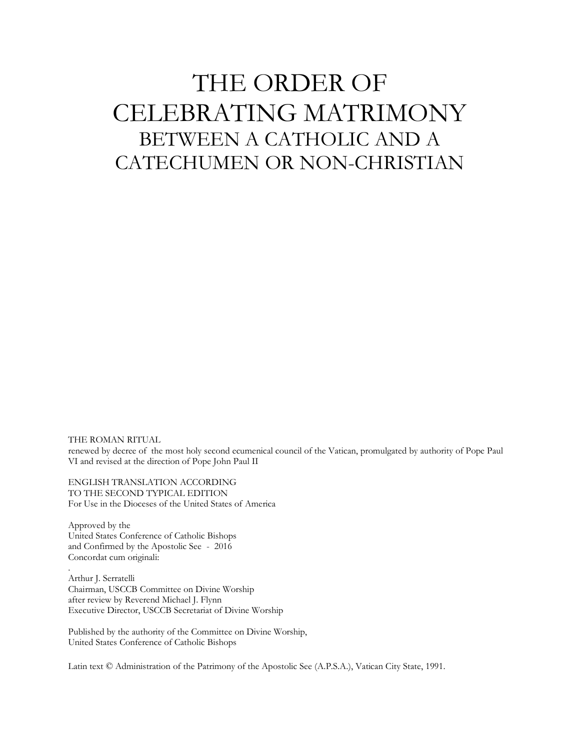# THE ORDER OF CELEBRATING MATRIMONY BETWEEN A CATHOLIC AND A CATECHUMEN OR NON-CHRISTIAN

THE ROMAN RITUAL renewed by decree of the most holy second ecumenical council of the Vatican, promulgated by authority of Pope Paul VI and revised at the direction of Pope John Paul II

ENGLISH TRANSLATION ACCORDING TO THE SECOND TYPICAL EDITION For Use in the Dioceses of the United States of America

Approved by the United States Conference of Catholic Bishops and Confirmed by the Apostolic See - 2016 Concordat cum originali:

.

Arthur J. Serratelli Chairman, USCCB Committee on Divine Worship after review by Reverend Michael J. Flynn Executive Director, USCCB Secretariat of Divine Worship

Published by the authority of the Committee on Divine Worship, United States Conference of Catholic Bishops

Latin text © Administration of the Patrimony of the Apostolic See (A.P.S.A.), Vatican City State, 1991.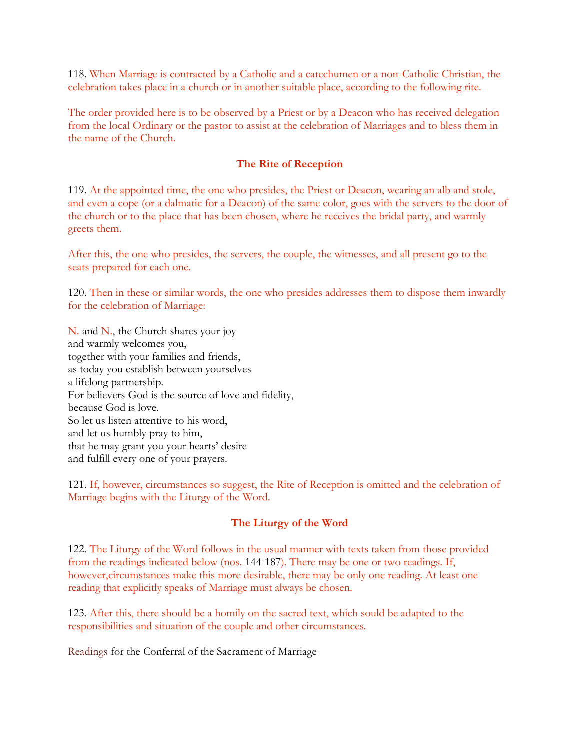118. When Marriage is contracted by a Catholic and a catechumen or a non-Catholic Christian, the celebration takes place in a church or in another suitable place, according to the following rite.

The order provided here is to be observed by a Priest or by a Deacon who has received delegation from the local Ordinary or the pastor to assist at the celebration of Marriages and to bless them in the name of the Church.

# **The Rite of Reception**

119. At the appointed time, the one who presides, the Priest or Deacon, wearing an alb and stole, and even a cope (or a dalmatic for a Deacon) of the same color, goes with the servers to the door of the church or to the place that has been chosen, where he receives the bridal party, and warmly greets them.

After this, the one who presides, the servers, the couple, the witnesses, and all present go to the seats prepared for each one.

120. Then in these or similar words, the one who presides addresses them to dispose them inwardly for the celebration of Marriage:

N. and N., the Church shares your joy and warmly welcomes you, together with your families and friends, as today you establish between yourselves a lifelong partnership. For believers God is the source of love and fidelity, because God is love. So let us listen attentive to his word, and let us humbly pray to him, that he may grant you your hearts' desire and fulfill every one of your prayers.

121. If, however, circumstances so suggest, the Rite of Reception is omitted and the celebration of Marriage begins with the Liturgy of the Word.

# **The Liturgy of the Word**

122. The Liturgy of the Word follows in the usual manner with texts taken from those provided from the readings indicated below (nos. 144-187). There may be one or two readings. If, however,circumstances make this more desirable, there may be only one reading. At least one reading that explicitly speaks of Marriage must always be chosen.

123. After this, there should be a homily on the sacred text, which sould be adapted to the responsibilities and situation of the couple and other circumstances.

[Readings](http://www.ibreviary.com/m/preghiere.php?tipo=Rito&id=554#readings) for the Conferral of the Sacrament of Marriage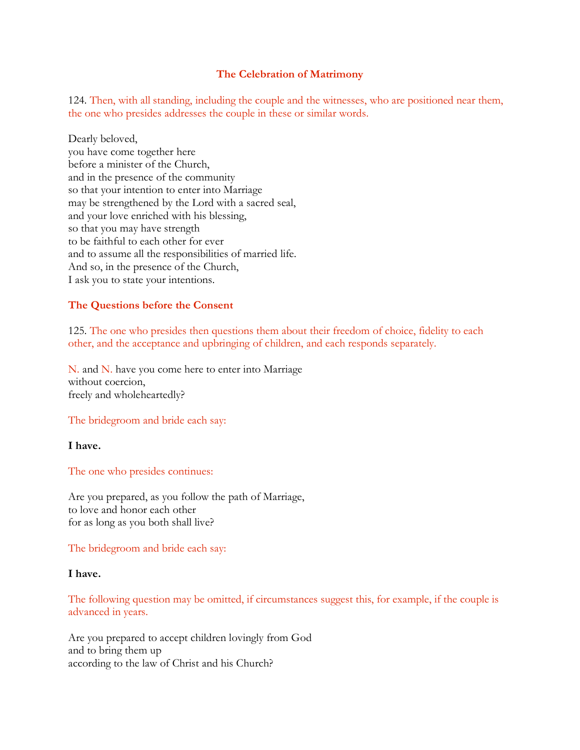## **The Celebration of Matrimony**

124. Then, with all standing, including the couple and the witnesses, who are positioned near them, the one who presides addresses the couple in these or similar words.

Dearly beloved, you have come together here before a minister of the Church, and in the presence of the community so that your intention to enter into Marriage may be strengthened by the Lord with a sacred seal, and your love enriched with his blessing, so that you may have strength to be faithful to each other for ever and to assume all the responsibilities of married life. And so, in the presence of the Church, I ask you to state your intentions.

## **The Questions before the Consent**

125. The one who presides then questions them about their freedom of choice, fidelity to each other, and the acceptance and upbringing of children, and each responds separately.

N. and N. have you come here to enter into Marriage without coercion, freely and wholeheartedly?

The bridegroom and bride each say:

**I have.**

The one who presides continues:

Are you prepared, as you follow the path of Marriage, to love and honor each other for as long as you both shall live?

The bridegroom and bride each say:

#### **I have.**

The following question may be omitted, if circumstances suggest this, for example, if the couple is advanced in years.

Are you prepared to accept children lovingly from God and to bring them up according to the law of Christ and his Church?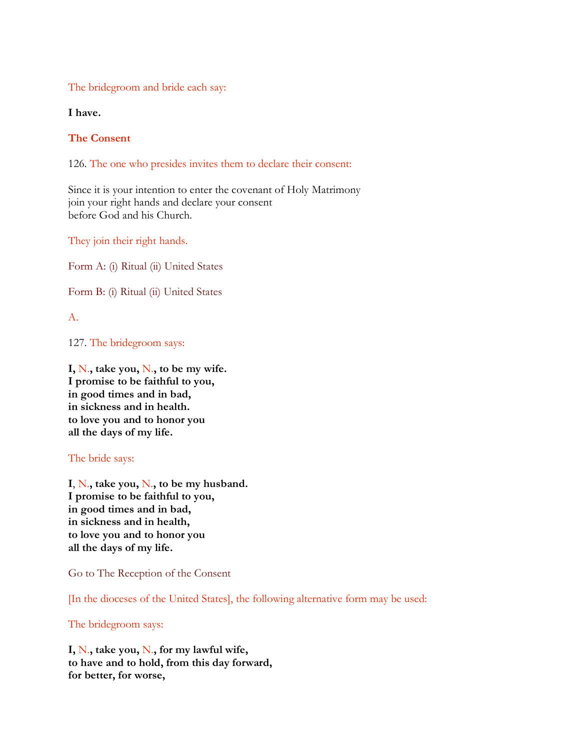The bridegroom and bride each say:

**I have.**

# **The Consent**

126. The one who presides invites them to declare their consent:

Since it is your intention to enter the covenant of Holy Matrimony join your right hands and declare your consent before God and his Church.

They join their right hands.

Form A: (i) [Ritual](http://www.ibreviary.com/m/preghiere.php?tipo=Rito&id=554#consenta) (ii) [United States](http://www.ibreviary.com/m/preghiere.php?tipo=Rito&id=554#consentaus)

Form B: (i) [Ritual](http://www.ibreviary.com/m/preghiere.php?tipo=Rito&id=554#consentb) (ii) [United States](http://www.ibreviary.com/m/preghiere.php?tipo=Rito&id=554#consentbus)

A.

127. The bridegroom says:

**I,** N.**, take you,** N.**, to be my wife. I promise to be faithful to you, in good times and in bad, in sickness and in health. to love you and to honor you all the days of my life.**

## The bride says:

**I**, N.**, take you,** N.**, to be my husband. I promise to be faithful to you, in good times and in bad, in sickness and in health, to love you and to honor you all the days of my life.**

[Go to The Reception of the Consent](http://www.ibreviary.com/m/preghiere.php?tipo=Rito&id=554#reception)

[In the dioceses of the United States], the following alternative form may be used:

## The bridegroom says:

**I,** N.**, take you,** N.**, for my lawful wife, to have and to hold, from this day forward, for better, for worse,**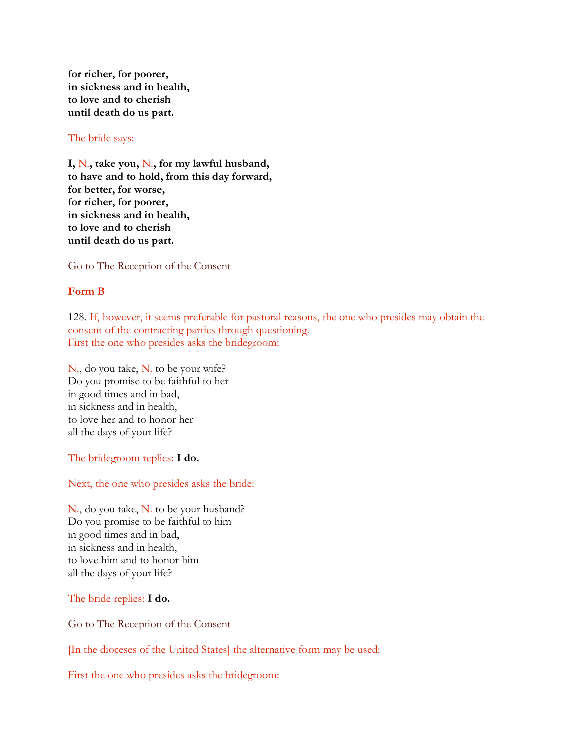**for richer, for poorer, in sickness and in health, to love and to cherish until death do us part.**

## The bride says:

**I,** N.**, take you,** N.**, for my lawful husband, to have and to hold, from this day forward, for better, for worse, for richer, for poorer, in sickness and in health, to love and to cherish until death do us part.**

[Go to The Reception of the Consent](http://www.ibreviary.com/m/preghiere.php?tipo=Rito&id=554#reception)

## **Form B**

128. If, however, it seems preferable for pastoral reasons, the one who presides may obtain the consent of the contracting parties through questioning. First the one who presides asks the bridegroom:

N., do you take, N. to be your wife? Do you promise to be faithful to her in good times and in bad, in sickness and in health, to love her and to honor her all the days of your life?

The bridegroom replies: **I do.**

Next, the one who presides asks the bride:

N., do you take, N. to be your husband? Do you promise to be faithful to him in good times and in bad, in sickness and in health, to love him and to honor him all the days of your life?

The bride replies: **I do.**

[Go to The Reception of the Consent](http://www.ibreviary.com/m/preghiere.php?tipo=Rito&id=554#reception)

[In the dioceses of the United States] the alternative form may be used:

First the one who presides asks the bridegroom: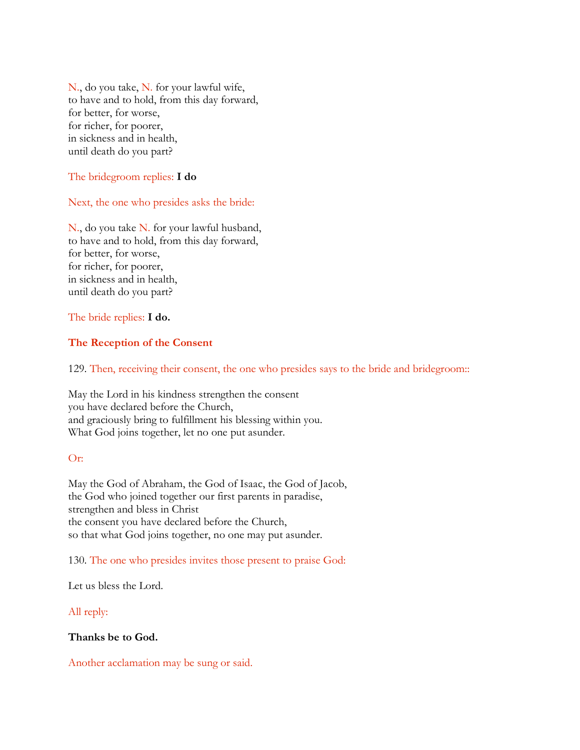N., do you take, N. for your lawful wife, to have and to hold, from this day forward, for better, for worse, for richer, for poorer, in sickness and in health, until death do you part?

## The bridegroom replies: **I do**

## Next, the one who presides asks the bride:

N., do you take N. for your lawful husband, to have and to hold, from this day forward, for better, for worse, for richer, for poorer, in sickness and in health, until death do you part?

## The bride replies: **I do.**

## **The Reception of the Consent**

129. Then, receiving their consent, the one who presides says to the bride and bridegroom::

May the Lord in his kindness strengthen the consent you have declared before the Church, and graciously bring to fulfillment his blessing within you. What God joins together, let no one put asunder.

## Or:

May the God of Abraham, the God of Isaac, the God of Jacob, the God who joined together our first parents in paradise, strengthen and bless in Christ the consent you have declared before the Church, so that what God joins together, no one may put asunder.

## 130. The one who presides invites those present to praise God:

Let us bless the Lord.

## All reply:

## **Thanks be to God.**

Another acclamation may be sung or said.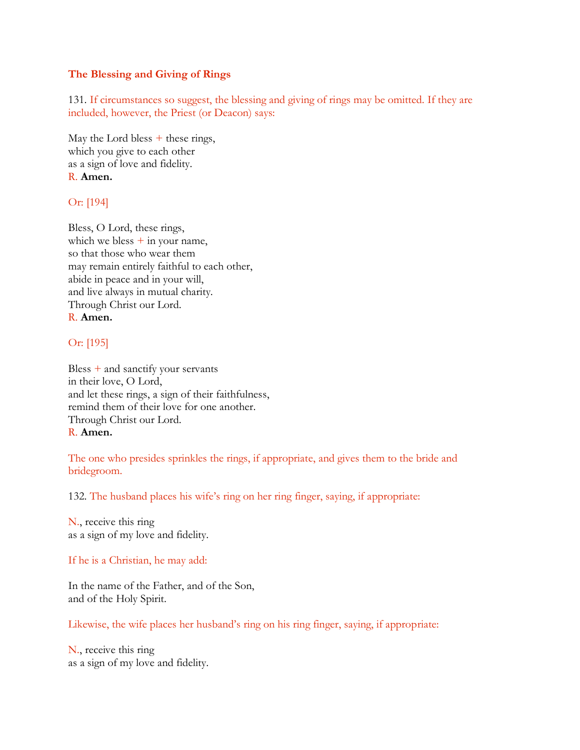# **The Blessing and Giving of Rings**

131. If circumstances so suggest, the blessing and giving of rings may be omitted. If they are included, however, the Priest (or Deacon) says:

May the Lord bless  $+$  these rings, which you give to each other as a sign of love and fidelity. R. **Amen.**

# Or: [194]

Bless, O Lord, these rings, which we bless  $+$  in your name, so that those who wear them may remain entirely faithful to each other, abide in peace and in your will, and live always in mutual charity. Through Christ our Lord. R. **Amen.**

# Or: [195]

Bless  $+$  and sanctify your servants in their love, O Lord, and let these rings, a sign of their faithfulness, remind them of their love for one another. Through Christ our Lord. R. **Amen.**

The one who presides sprinkles the rings, if appropriate, and gives them to the bride and bridegroom.

132. The husband places his wife's ring on her ring finger, saying, if appropriate:

N., receive this ring as a sign of my love and fidelity.

If he is a Christian, he may add:

In the name of the Father, and of the Son, and of the Holy Spirit.

Likewise, the wife places her husband's ring on his ring finger, saying, if appropriate:

N., receive this ring as a sign of my love and fidelity.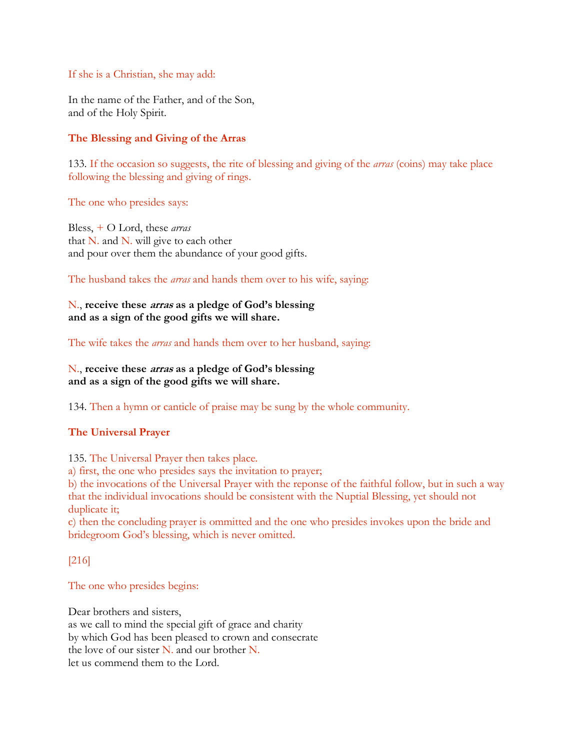## If she is a Christian, she may add:

In the name of the Father, and of the Son, and of the Holy Spirit.

# **The Blessing and Giving of the Arras**

133. If the occasion so suggests, the rite of blessing and giving of the *arras* (coins) may take place following the blessing and giving of rings.

The one who presides says:

Bless, + O Lord, these *arras* that N. and N. will give to each other and pour over them the abundance of your good gifts.

The husband takes the *arras* and hands them over to his wife, saying:

N., **receive these arras as a pledge of God's blessing and as a sign of the good gifts we will share.**

The wife takes the *arras* and hands them over to her husband, saying:

N., **receive these arras as a pledge of God's blessing and as a sign of the good gifts we will share.**

134. Then a hymn or canticle of praise may be sung by the whole community.

# **The Universal Prayer**

135. The Universal Prayer then takes place.

a) first, the one who presides says the invitation to prayer;

b) the invocations of the Universal Prayer with the reponse of the faithful follow, but in such a way that the individual invocations should be consistent with the Nuptial Blessing, yet should not duplicate it;

c) then the concluding prayer is ommitted and the one who presides invokes upon the bride and bridegroom God's blessing, which is never omitted.

[216]

The one who presides begins:

Dear brothers and sisters, as we call to mind the special gift of grace and charity by which God has been pleased to crown and consecrate the love of our sister N. and our brother N. let us commend them to the Lord.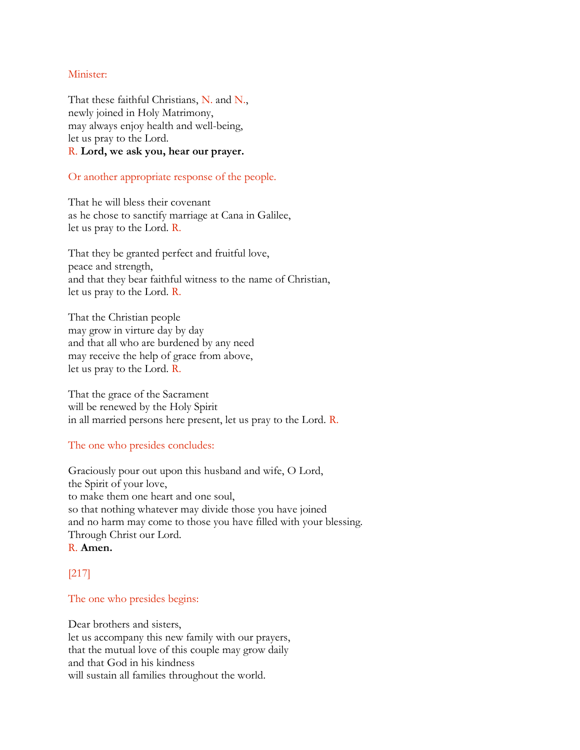## Minister:

That these faithful Christians, N. and N., newly joined in Holy Matrimony, may always enjoy health and well-being, let us pray to the Lord. R. **Lord, we ask you, hear our prayer.**

## Or another appropriate response of the people.

That he will bless their covenant as he chose to sanctify marriage at Cana in Galilee, let us pray to the Lord. R.

That they be granted perfect and fruitful love, peace and strength, and that they bear faithful witness to the name of Christian, let us pray to the Lord. R.

That the Christian people may grow in virture day by day and that all who are burdened by any need may receive the help of grace from above, let us pray to the Lord. R.

That the grace of the Sacrament will be renewed by the Holy Spirit in all married persons here present, let us pray to the Lord. R.

## The one who presides concludes:

Graciously pour out upon this husband and wife, O Lord, the Spirit of your love, to make them one heart and one soul, so that nothing whatever may divide those you have joined and no harm may come to those you have filled with your blessing. Through Christ our Lord. R. **Amen.**

# [217]

## The one who presides begins:

Dear brothers and sisters, let us accompany this new family with our prayers, that the mutual love of this couple may grow daily and that God in his kindness will sustain all families throughout the world.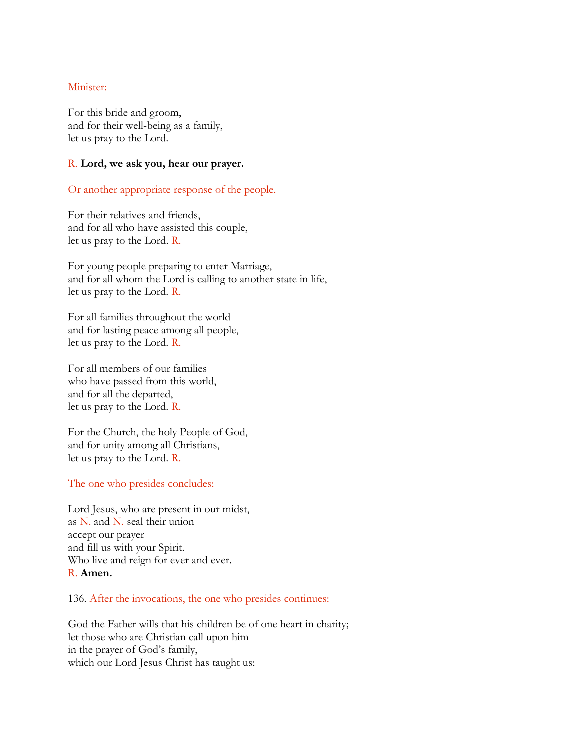## Minister:

For this bride and groom, and for their well-being as a family, let us pray to the Lord.

## R. **Lord, we ask you, hear our prayer.**

Or another appropriate response of the people.

For their relatives and friends, and for all who have assisted this couple, let us pray to the Lord. R.

For young people preparing to enter Marriage, and for all whom the Lord is calling to another state in life, let us pray to the Lord. R.

For all families throughout the world and for lasting peace among all people, let us pray to the Lord. R.

For all members of our families who have passed from this world, and for all the departed, let us pray to the Lord. R.

For the Church, the holy People of God, and for unity among all Christians, let us pray to the Lord. R.

The one who presides concludes:

Lord Jesus, who are present in our midst, as N. and N. seal their union accept our prayer and fill us with your Spirit. Who live and reign for ever and ever. R. **Amen.**

136. After the invocations, the one who presides continues:

God the Father wills that his children be of one heart in charity; let those who are Christian call upon him in the prayer of God's family, which our Lord Jesus Christ has taught us: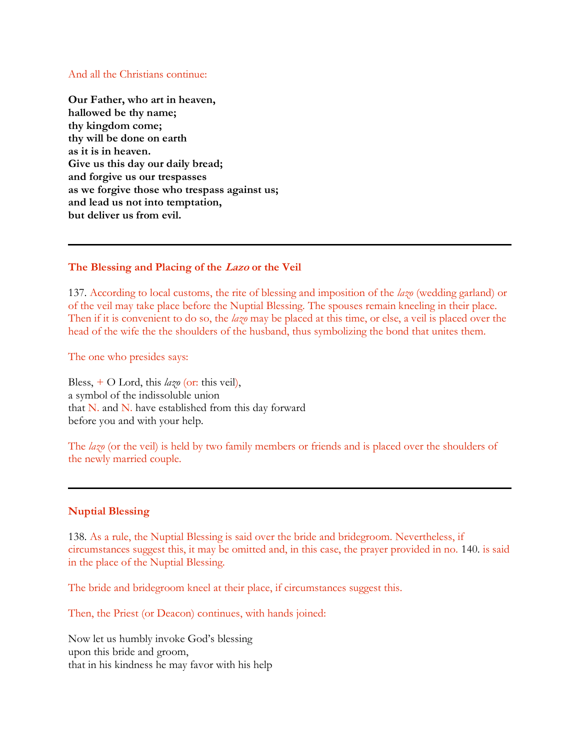#### And all the Christians continue:

**Our Father, who art in heaven, hallowed be thy name; thy kingdom come; thy will be done on earth as it is in heaven. Give us this day our daily bread; and forgive us our trespasses as we forgive those who trespass against us; and lead us not into temptation, but deliver us from evil.**

## **The Blessing and Placing of the Lazo or the Veil**

137. According to local customs, the rite of blessing and imposition of the *lazo* (wedding garland) or of the veil may take place before the Nuptial Blessing. The spouses remain kneeling in their place. Then if it is convenient to do so, the *lazo* may be placed at this time, or else, a veil is placed over the head of the wife the the shoulders of the husband, thus symbolizing the bond that unites them.

The one who presides says:

Bless, + O Lord, this *lazo* (or: this veil), a symbol of the indissoluble union that N. and N. have established from this day forward before you and with your help.

The *lazo* (or the veil) is held by two family members or friends and is placed over the shoulders of the newly married couple.

## **Nuptial Blessing**

138. As a rule, the Nuptial Blessing is said over the bride and bridegroom. Nevertheless, if circumstances suggest this, it may be omitted and, in this case, the prayer provided in no. 140. is said in the place of the Nuptial Blessing.

The bride and bridegroom kneel at their place, if circumstances suggest this.

Then, the Priest (or Deacon) continues, with hands joined:

Now let us humbly invoke God's blessing upon this bride and groom, that in his kindness he may favor with his help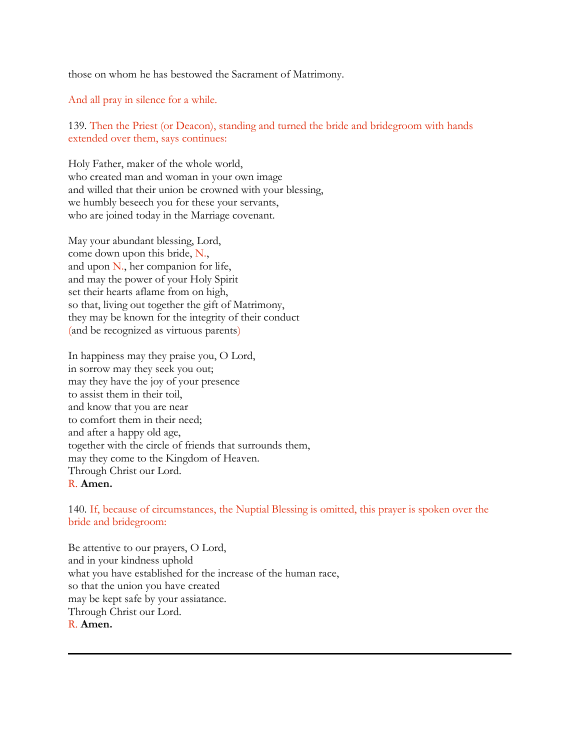those on whom he has bestowed the Sacrament of Matrimony.

And all pray in silence for a while.

139. Then the Priest (or Deacon), standing and turned the bride and bridegroom with hands extended over them, says continues:

Holy Father, maker of the whole world, who created man and woman in your own image and willed that their union be crowned with your blessing, we humbly beseech you for these your servants, who are joined today in the Marriage covenant.

May your abundant blessing, Lord, come down upon this bride, N., and upon N., her companion for life, and may the power of your Holy Spirit set their hearts aflame from on high, so that, living out together the gift of Matrimony, they may be known for the integrity of their conduct (and be recognized as virtuous parents)

In happiness may they praise you, O Lord, in sorrow may they seek you out; may they have the joy of your presence to assist them in their toil, and know that you are near to comfort them in their need; and after a happy old age, together with the circle of friends that surrounds them, may they come to the Kingdom of Heaven. Through Christ our Lord. R. **Amen.**

140. If, because of circumstances, the Nuptial Blessing is omitted, this prayer is spoken over the bride and bridegroom:

Be attentive to our prayers, O Lord, and in your kindness uphold what you have established for the increase of the human race, so that the union you have created may be kept safe by your assiatance. Through Christ our Lord. R. **Amen.**